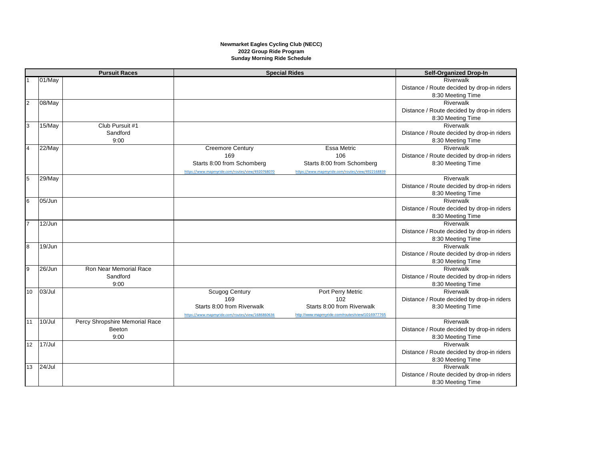## **Newmarket Eagles Cycling Club (NECC) 2022 Group Ride Program Sunday Morning Ride Schedule**

| <b>Pursuit Races</b> |           |                                | <b>Special Rides</b>                             |                                                  | <b>Self-Organized Drop-In</b>                                   |
|----------------------|-----------|--------------------------------|--------------------------------------------------|--------------------------------------------------|-----------------------------------------------------------------|
|                      | 01/May    |                                |                                                  |                                                  | Riverwalk                                                       |
|                      |           |                                |                                                  |                                                  | Distance / Route decided by drop-in riders                      |
|                      |           |                                |                                                  |                                                  | 8:30 Meeting Time                                               |
| $\overline{2}$       | 08/May    |                                |                                                  |                                                  | Riverwalk                                                       |
|                      |           |                                |                                                  |                                                  | Distance / Route decided by drop-in riders                      |
|                      |           |                                |                                                  |                                                  | 8:30 Meeting Time                                               |
| 3                    | 15/May    | Club Pursuit #1                |                                                  |                                                  | Riverwalk                                                       |
|                      |           | Sandford                       |                                                  |                                                  | Distance / Route decided by drop-in riders                      |
|                      |           | 9:00                           |                                                  |                                                  | 8:30 Meeting Time                                               |
| $\overline{4}$       | 22/May    |                                | <b>Creemore Century</b>                          | Essa Metric                                      | Riverwalk                                                       |
|                      |           |                                | 169                                              | 106                                              | Distance / Route decided by drop-in riders                      |
|                      |           |                                | Starts 8:00 from Schomberg                       | Starts 8:00 from Schomberg                       | 8:30 Meeting Time                                               |
|                      |           |                                | https://www.mapmyride.com/routes/view/4920768070 | https://www.mapmyride.com/routes/view/4922168839 |                                                                 |
| $\overline{5}$       | 29/May    |                                |                                                  |                                                  | Riverwalk                                                       |
|                      |           |                                |                                                  |                                                  | Distance / Route decided by drop-in riders                      |
|                      |           |                                |                                                  |                                                  | 8:30 Meeting Time                                               |
| 6                    | 05/Jun    |                                |                                                  |                                                  | Riverwalk                                                       |
|                      |           |                                |                                                  |                                                  | Distance / Route decided by drop-in riders                      |
|                      |           |                                |                                                  |                                                  | 8:30 Meeting Time                                               |
| 7                    | 12/Jun    |                                |                                                  |                                                  | Riverwalk                                                       |
|                      |           |                                |                                                  |                                                  | Distance / Route decided by drop-in riders                      |
|                      |           |                                |                                                  |                                                  | 8:30 Meeting Time                                               |
| $\infty$             | 19/Jun    |                                |                                                  |                                                  | Riverwalk                                                       |
|                      |           |                                |                                                  |                                                  | Distance / Route decided by drop-in riders                      |
| 9                    | 26/Jun    | Ron Near Memorial Race         |                                                  |                                                  | 8:30 Meeting Time<br>Riverwalk                                  |
|                      |           | Sandford                       |                                                  |                                                  |                                                                 |
|                      |           | 9:00                           |                                                  |                                                  | Distance / Route decided by drop-in riders<br>8:30 Meeting Time |
| 10                   | 03/Jul    |                                | <b>Scugog Century</b>                            | Port Perry Metric                                | Riverwalk                                                       |
|                      |           |                                | 169                                              | 102                                              | Distance / Route decided by drop-in riders                      |
|                      |           |                                | Starts 8:00 from Riverwalk                       | Starts 8:00 from Riverwalk                       | 8:30 Meeting Time                                               |
|                      |           |                                | https://www.mapmyride.com/routes/view/1686860636 | http://www.mapmyride.com/routes/view/1016977765  |                                                                 |
| 11                   | 10/Jul    | Percy Shropshire Memorial Race |                                                  |                                                  | Riverwalk                                                       |
|                      |           | Beeton                         |                                                  |                                                  | Distance / Route decided by drop-in riders                      |
|                      |           | 9:00                           |                                                  |                                                  | 8:30 Meeting Time                                               |
| 12                   | 17/Jul    |                                |                                                  |                                                  | Riverwalk                                                       |
|                      |           |                                |                                                  |                                                  | Distance / Route decided by drop-in riders                      |
|                      |           |                                |                                                  |                                                  | 8:30 Meeting Time                                               |
| 13                   | $24/J$ ul |                                |                                                  |                                                  | Riverwalk                                                       |
|                      |           |                                |                                                  |                                                  | Distance / Route decided by drop-in riders                      |
|                      |           |                                |                                                  |                                                  | 8:30 Meeting Time                                               |